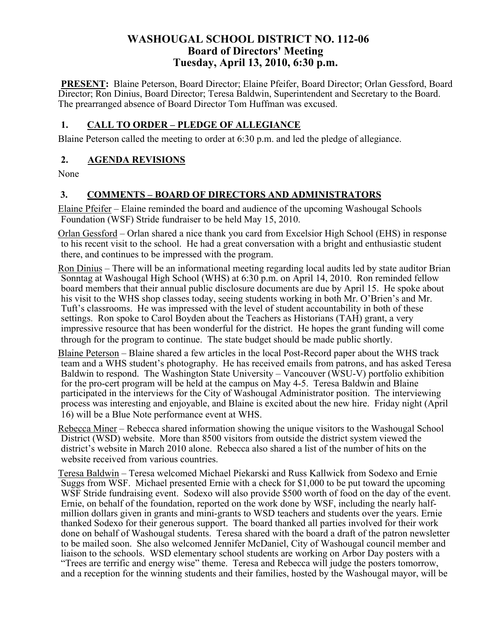## **WASHOUGAL SCHOOL DISTRICT NO. 112-06 Board of Directors' Meeting Tuesday, April 13, 2010, 6:30 p.m.**

**PRESENT:** Blaine Peterson, Board Director; Elaine Pfeifer, Board Director; Orlan Gessford, Board Director; Ron Dinius, Board Director; Teresa Baldwin, Superintendent and Secretary to the Board. The prearranged absence of Board Director Tom Huffman was excused.

#### **1. CALL TO ORDER – PLEDGE OF ALLEGIANCE**

Blaine Peterson called the meeting to order at 6:30 p.m. and led the pledge of allegiance.

#### **2. AGENDA REVISIONS**

None

## **3. COMMENTS – BOARD OF DIRECTORS AND ADMINISTRATORS**

Elaine Pfeifer – Elaine reminded the board and audience of the upcoming Washougal Schools Foundation (WSF) Stride fundraiser to be held May 15, 2010.

Orlan Gessford – Orlan shared a nice thank you card from Excelsior High School (EHS) in response to his recent visit to the school. He had a great conversation with a bright and enthusiastic student there, and continues to be impressed with the program.

Ron Dinius – There will be an informational meeting regarding local audits led by state auditor Brian Sonntag at Washougal High School (WHS) at 6:30 p.m. on April 14, 2010. Ron reminded fellow board members that their annual public disclosure documents are due by April 15. He spoke about his visit to the WHS shop classes today, seeing students working in both Mr. O'Brien's and Mr. Tuft's classrooms. He was impressed with the level of student accountability in both of these settings. Ron spoke to Carol Boyden about the Teachers as Historians (TAH) grant, a very impressive resource that has been wonderful for the district. He hopes the grant funding will come through for the program to continue. The state budget should be made public shortly.

Blaine Peterson – Blaine shared a few articles in the local Post-Record paper about the WHS track team and a WHS student's photography. He has received emails from patrons, and has asked Teresa Baldwin to respond. The Washington State University – Vancouver (WSU-V) portfolio exhibition for the pro-cert program will be held at the campus on May 4-5. Teresa Baldwin and Blaine participated in the interviews for the City of Washougal Administrator position. The interviewing process was interesting and enjoyable, and Blaine is excited about the new hire. Friday night (April 16) will be a Blue Note performance event at WHS.

Rebecca Miner – Rebecca shared information showing the unique visitors to the Washougal School District (WSD) website. More than 8500 visitors from outside the district system viewed the district's website in March 2010 alone. Rebecca also shared a list of the number of hits on the website received from various countries.

Teresa Baldwin – Teresa welcomed Michael Piekarski and Russ Kallwick from Sodexo and Ernie Suggs from WSF. Michael presented Ernie with a check for \$1,000 to be put toward the upcoming WSF Stride fundraising event. Sodexo will also provide \$500 worth of food on the day of the event. Ernie, on behalf of the foundation, reported on the work done by WSF, including the nearly halfmillion dollars given in grants and mini-grants to WSD teachers and students over the years. Ernie thanked Sodexo for their generous support. The board thanked all parties involved for their work done on behalf of Washougal students. Teresa shared with the board a draft of the patron newsletter to be mailed soon. She also welcomed Jennifer McDaniel, City of Washougal council member and liaison to the schools. WSD elementary school students are working on Arbor Day posters with a "Trees are terrific and energy wise" theme. Teresa and Rebecca will judge the posters tomorrow, and a reception for the winning students and their families, hosted by the Washougal mayor, will be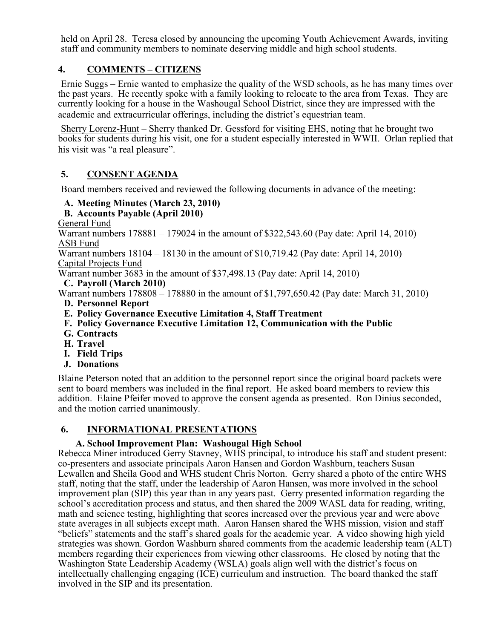held on April 28. Teresa closed by announcing the upcoming Youth Achievement Awards, inviting staff and community members to nominate deserving middle and high school students.

## **4. COMMENTS – CITIZENS**

Ernie Suggs – Ernie wanted to emphasize the quality of the WSD schools, as he has many times over the past years. He recently spoke with a family looking to relocate to the area from Texas. They are currently looking for a house in the Washougal School District, since they are impressed with the academic and extracurricular offerings, including the district's equestrian team.

Sherry Lorenz-Hunt – Sherry thanked Dr. Gessford for visiting EHS, noting that he brought two books for students during his visit, one for a student especially interested in WWII. Orlan replied that his visit was "a real pleasure".

## **5. CONSENT AGENDA**

Board members received and reviewed the following documents in advance of the meeting:

## **A. Meeting Minutes (March 23, 2010)**

#### **B. Accounts Payable (April 2010)**

General Fund

Warrant numbers 178881 – 179024 in the amount of \$322,543.60 (Pay date: April 14, 2010) ASB Fund

Warrant numbers 18104 – 18130 in the amount of \$10,719.42 (Pay date: April 14, 2010) Capital Projects Fund

Warrant number 3683 in the amount of \$37,498.13 (Pay date: April 14, 2010)

#### **C. Payroll (March 2010)**

Warrant numbers 178808 – 178880 in the amount of \$1,797,650.42 (Pay date: March 31, 2010)

- **D. Personnel Report**
- **E. Policy Governance Executive Limitation 4, Staff Treatment**
- **F. Policy Governance Executive Limitation 12, Communication with the Public**
- **G. Contracts**
- **H. Travel**
- **I. Field Trips**
- **J. Donations**

Blaine Peterson noted that an addition to the personnel report since the original board packets were sent to board members was included in the final report. He asked board members to review this addition. Elaine Pfeifer moved to approve the consent agenda as presented. Ron Dinius seconded, and the motion carried unanimously.

#### **6. INFORMATIONAL PRESENTATIONS**

#### **A. School Improvement Plan: Washougal High School**

Rebecca Miner introduced Gerry Stavney, WHS principal, to introduce his staff and student present: co-presenters and associate principals Aaron Hansen and Gordon Washburn, teachers Susan Lewallen and Sheila Good and WHS student Chris Norton. Gerry shared a photo of the entire WHS staff, noting that the staff, under the leadership of Aaron Hansen, was more involved in the school improvement plan (SIP) this year than in any years past. Gerry presented information regarding the school's accreditation process and status, and then shared the 2009 WASL data for reading, writing, math and science testing, highlighting that scores increased over the previous year and were above state averages in all subjects except math. Aaron Hansen shared the WHS mission, vision and staff "beliefs" statements and the staff's shared goals for the academic year. A video showing high yield strategies was shown. Gordon Washburn shared comments from the academic leadership team (ALT) members regarding their experiences from viewing other classrooms. He closed by noting that the Washington State Leadership Academy (WSLA) goals align well with the district's focus on intellectually challenging engaging (ICE) curriculum and instruction. The board thanked the staff involved in the SIP and its presentation.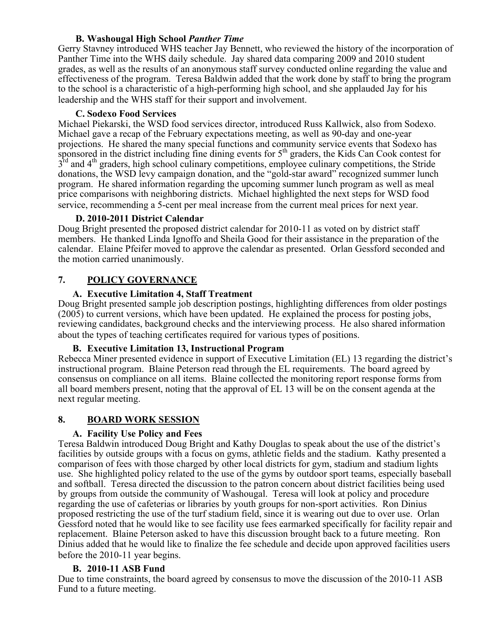#### **B. Washougal High School** *Panther Time*

Gerry Stavney introduced WHS teacher Jay Bennett, who reviewed the history of the incorporation of Panther Time into the WHS daily schedule. Jay shared data comparing 2009 and 2010 student grades, as well as the results of an anonymous staff survey conducted online regarding the value and effectiveness of the program. Teresa Baldwin added that the work done by staff to bring the program to the school is a characteristic of a high-performing high school, and she applauded Jay for his leadership and the WHS staff for their support and involvement.

#### **C. Sodexo Food Services**

Michael Piekarski, the WSD food services director, introduced Russ Kallwick, also from Sodexo. Michael gave a recap of the February expectations meeting, as well as 90-day and one-year projections. He shared the many special functions and community service events that Sodexo has sponsored in the district including fine dining events for  $5<sup>th</sup>$  graders, the Kids Can Cook contest for  $3<sup>rd</sup>$  and 4<sup>th</sup> graders, high school culinary competitions, employee culinary competitions, the Stride donations, the WSD levy campaign donation, and the "gold-star award" recognized summer lunch program. He shared information regarding the upcoming summer lunch program as well as meal price comparisons with neighboring districts. Michael highlighted the next steps for WSD food service, recommending a 5-cent per meal increase from the current meal prices for next year.

#### **D. 2010-2011 District Calendar**

Doug Bright presented the proposed district calendar for 2010-11 as voted on by district staff members. He thanked Linda Ignoffo and Sheila Good for their assistance in the preparation of the calendar. Elaine Pfeifer moved to approve the calendar as presented. Orlan Gessford seconded and the motion carried unanimously.

## **7. POLICY GOVERNANCE**

#### **A. Executive Limitation 4, Staff Treatment**

Doug Bright presented sample job description postings, highlighting differences from older postings (2005) to current versions, which have been updated. He explained the process for posting jobs, reviewing candidates, background checks and the interviewing process. He also shared information about the types of teaching certificates required for various types of positions.

#### **B. Executive Limitation 13, Instructional Program**

Rebecca Miner presented evidence in support of Executive Limitation (EL) 13 regarding the district's instructional program. Blaine Peterson read through the EL requirements. The board agreed by consensus on compliance on all items. Blaine collected the monitoring report response forms from all board members present, noting that the approval of EL 13 will be on the consent agenda at the next regular meeting.

#### **8. BOARD WORK SESSION**

#### **A. Facility Use Policy and Fees**

Teresa Baldwin introduced Doug Bright and Kathy Douglas to speak about the use of the district's facilities by outside groups with a focus on gyms, athletic fields and the stadium. Kathy presented a comparison of fees with those charged by other local districts for gym, stadium and stadium lights use. She highlighted policy related to the use of the gyms by outdoor sport teams, especially baseball and softball. Teresa directed the discussion to the patron concern about district facilities being used by groups from outside the community of Washougal. Teresa will look at policy and procedure regarding the use of cafeterias or libraries by youth groups for non-sport activities. Ron Dinius proposed restricting the use of the turf stadium field, since it is wearing out due to over use. Orlan Gessford noted that he would like to see facility use fees earmarked specifically for facility repair and replacement. Blaine Peterson asked to have this discussion brought back to a future meeting. Ron Dinius added that he would like to finalize the fee schedule and decide upon approved facilities users before the 2010-11 year begins.

#### **B. 2010-11 ASB Fund**

Due to time constraints, the board agreed by consensus to move the discussion of the 2010-11 ASB Fund to a future meeting.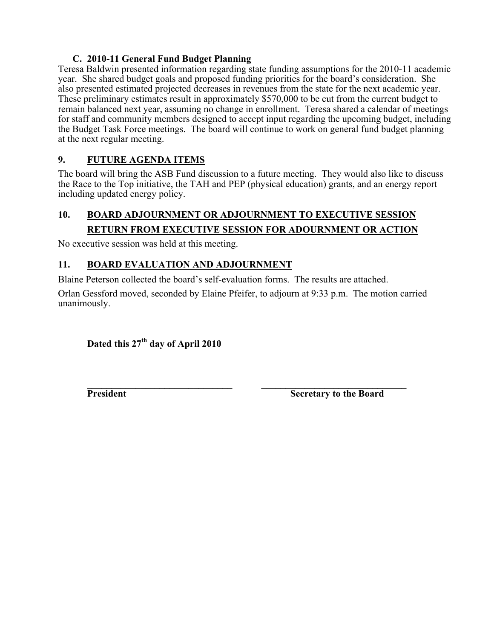#### **C. 2010-11 General Fund Budget Planning**

Teresa Baldwin presented information regarding state funding assumptions for the 2010-11 academic year. She shared budget goals and proposed funding priorities for the board's consideration. She also presented estimated projected decreases in revenues from the state for the next academic year. These preliminary estimates result in approximately \$570,000 to be cut from the current budget to remain balanced next year, assuming no change in enrollment. Teresa shared a calendar of meetings for staff and community members designed to accept input regarding the upcoming budget, including the Budget Task Force meetings. The board will continue to work on general fund budget planning at the next regular meeting.

## **9. FUTURE AGENDA ITEMS**

The board will bring the ASB Fund discussion to a future meeting. They would also like to discuss the Race to the Top initiative, the TAH and PEP (physical education) grants, and an energy report including updated energy policy.

# **10. BOARD ADJOURNMENT OR ADJOURNMENT TO EXECUTIVE SESSION RETURN FROM EXECUTIVE SESSION FOR ADOURNMENT OR ACTION**

No executive session was held at this meeting.

## **11. BOARD EVALUATION AND ADJOURNMENT**

Blaine Peterson collected the board's self-evaluation forms. The results are attached.

Orlan Gessford moved, seconded by Elaine Pfeifer, to adjourn at 9:33 p.m. The motion carried unanimously.

## **Dated this 27th day of April 2010**

**\_\_\_\_\_\_\_\_\_\_\_\_\_\_\_\_\_\_\_\_\_\_\_\_\_\_\_\_\_\_ \_\_\_\_\_\_\_\_\_\_\_\_\_\_\_\_\_\_\_\_\_\_\_\_\_\_\_\_\_\_ President Secretary to the Board**